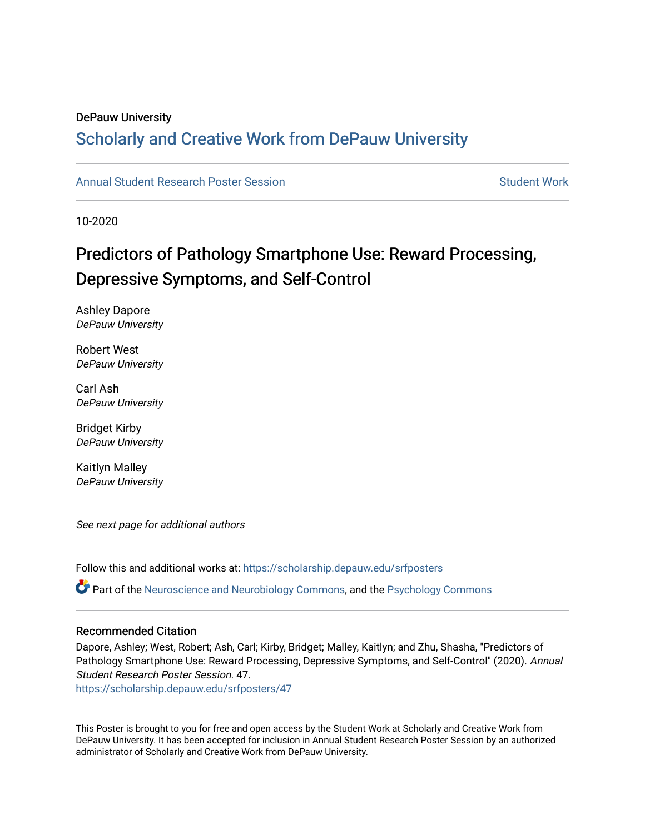#### DePauw University

#### Scholarly and [Creative Work from DePauw Univ](https://scholarship.depauw.edu/)ersity

#### [Annual Student Research Poster Session](https://scholarship.depauw.edu/srfposters) Student Work

10-2020

#### Predictors of Pathology Smartphone Use: Reward Processing, Depressive Symptoms, and Self-Control

Ashley Dapore DePauw University

Robert West DePauw University

Carl Ash DePauw University

Bridget Kirby DePauw University

Kaitlyn Malley DePauw University

See next page for additional authors

Follow this and additional works at: [https://scholarship.depauw.edu/srfposters](https://scholarship.depauw.edu/srfposters?utm_source=scholarship.depauw.edu%2Fsrfposters%2F47&utm_medium=PDF&utm_campaign=PDFCoverPages)  Part of the [Neuroscience and Neurobiology Commons,](https://network.bepress.com/hgg/discipline/55?utm_source=scholarship.depauw.edu%2Fsrfposters%2F47&utm_medium=PDF&utm_campaign=PDFCoverPages) and the [Psychology Commons](https://network.bepress.com/hgg/discipline/404?utm_source=scholarship.depauw.edu%2Fsrfposters%2F47&utm_medium=PDF&utm_campaign=PDFCoverPages)

#### Recommended Citation

Dapore, Ashley; West, Robert; Ash, Carl; Kirby, Bridget; Malley, Kaitlyn; and Zhu, Shasha, "Predictors of Pathology Smartphone Use: Reward Processing, Depressive Symptoms, and Self-Control" (2020). Annual Student Research Poster Session. 47.

[https://scholarship.depauw.edu/srfposters/47](https://scholarship.depauw.edu/srfposters/47?utm_source=scholarship.depauw.edu%2Fsrfposters%2F47&utm_medium=PDF&utm_campaign=PDFCoverPages)

This Poster is brought to you for free and open access by the Student Work at Scholarly and Creative Work from DePauw University. It has been accepted for inclusion in Annual Student Research Poster Session by an authorized administrator of Scholarly and Creative Work from DePauw University.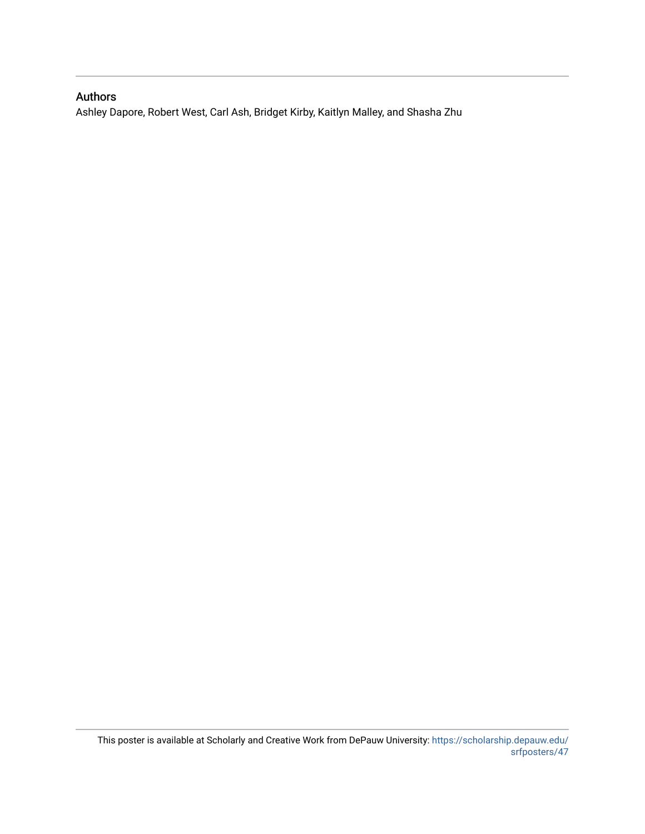#### Authors

Ashley Dapore, Robert West, Carl Ash, Bridget Kirby, Kaitlyn Malley, and Shasha Zhu